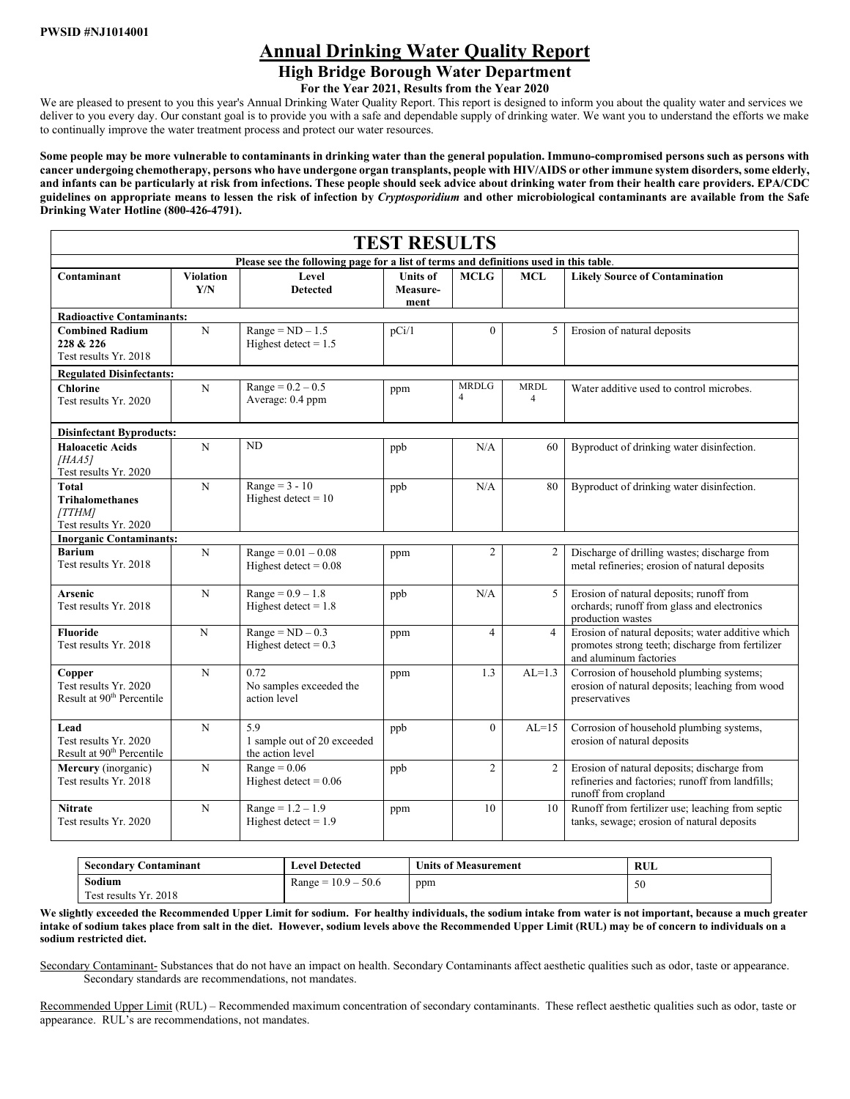# **Annual Drinking Water Quality Report**

# **High Bridge Borough Water Department**

**For the Year 2021, Results from the Year 2020**

We are pleased to present to you this year's Annual Drinking Water Quality Report. This report is designed to inform you about the quality water and services we deliver to you every day. Our constant goal is to provide you with a safe and dependable supply of drinking water. We want you to understand the efforts we make to continually improve the water treatment process and protect our water resources.

**Some people may be more vulnerable to contaminants in drinking water than the general population. Immuno-compromised persons such as persons with cancer undergoing chemotherapy, persons who have undergone organ transplants, people with HIV/AIDS or other immune system disorders, some elderly, and infants can be particularly at risk from infections. These people should seek advice about drinking water from their health care providers. EPA/CDC guidelines on appropriate means to lessen the risk of infection by** *Cryptosporidium* **and other microbiological contaminants are available from the Safe Drinking Water Hotline (800-426-4791).**

| <b>TEST RESULTS</b>                                                                   |                         |                                                        |                                     |                                |                               |                                                                                                                                 |  |  |  |  |
|---------------------------------------------------------------------------------------|-------------------------|--------------------------------------------------------|-------------------------------------|--------------------------------|-------------------------------|---------------------------------------------------------------------------------------------------------------------------------|--|--|--|--|
| Please see the following page for a list of terms and definitions used in this table. |                         |                                                        |                                     |                                |                               |                                                                                                                                 |  |  |  |  |
| Contaminant                                                                           | <b>Violation</b><br>Y/N | Level<br><b>Detected</b>                               | <b>Units of</b><br>Measure-<br>ment | <b>MCLG</b>                    | <b>MCL</b>                    | <b>Likely Source of Contamination</b>                                                                                           |  |  |  |  |
| <b>Radioactive Contaminants:</b>                                                      |                         |                                                        |                                     |                                |                               |                                                                                                                                 |  |  |  |  |
| <b>Combined Radium</b><br>228 & 226<br>Test results Yr. 2018                          | $\mathbf N$             | $Range = ND - 1.5$<br>Highest detect $= 1.5$           | pCi/1                               | $\theta$                       | 5                             | Erosion of natural deposits                                                                                                     |  |  |  |  |
| <b>Regulated Disinfectants:</b>                                                       |                         |                                                        |                                     |                                |                               |                                                                                                                                 |  |  |  |  |
| <b>Chlorine</b><br>Test results Yr. 2020                                              | $\mathbf N$             | $Range = 0.2 - 0.5$<br>Average: 0.4 ppm                | ppm                                 | <b>MRDLG</b><br>$\overline{4}$ | <b>MRDL</b><br>$\overline{4}$ | Water additive used to control microbes.                                                                                        |  |  |  |  |
| <b>Disinfectant Byproducts:</b>                                                       |                         |                                                        |                                     |                                |                               |                                                                                                                                 |  |  |  |  |
| <b>Haloacetic Acids</b><br>[HAA5]<br>Test results Yr. 2020                            | N                       | N <sub>D</sub>                                         | ppb                                 | N/A                            | 60                            | Byproduct of drinking water disinfection.                                                                                       |  |  |  |  |
| <b>Total</b><br><b>Trihalomethanes</b><br>[TTHM]<br>Test results Yr. 2020             | $\mathbf N$             | Range = $3 - 10$<br>Highest detect = $10$              | ppb                                 | N/A                            | 80                            | Byproduct of drinking water disinfection.                                                                                       |  |  |  |  |
| <b>Inorganic Contaminants:</b>                                                        |                         |                                                        |                                     |                                |                               |                                                                                                                                 |  |  |  |  |
| <b>Barium</b><br>Test results Yr. 2018                                                | $\mathbf N$             | $Range = 0.01 - 0.08$<br>Highest detect = $0.08$       | ppm                                 | $\overline{2}$                 | 2                             | Discharge of drilling wastes; discharge from<br>metal refineries; erosion of natural deposits                                   |  |  |  |  |
| Arsenic<br>Test results Yr. 2018                                                      | N                       | $Range = 0.9 - 1.8$<br>Highest detect = $1.8$          | ppb                                 | N/A                            | 5                             | Erosion of natural deposits; runoff from<br>orchards; runoff from glass and electronics<br>production wastes                    |  |  |  |  |
| <b>Fluoride</b><br>Test results Yr. 2018                                              | N                       | $Range = ND - 0.3$<br>Highest detect = $0.3$           | ppm                                 | $\overline{4}$                 | $\overline{4}$                | Erosion of natural deposits; water additive which<br>promotes strong teeth; discharge from fertilizer<br>and aluminum factories |  |  |  |  |
| Copper<br>Test results Yr. 2020<br>Result at 90 <sup>th</sup> Percentile              | $\mathbf N$             | 0.72<br>No samples exceeded the<br>action level        | ppm                                 | 1.3                            | $AL=1.3$                      | Corrosion of household plumbing systems;<br>erosion of natural deposits; leaching from wood<br>preservatives                    |  |  |  |  |
| Lead<br>Test results Yr. 2020<br>Result at 90 <sup>th</sup> Percentile                | N                       | 5.9<br>1 sample out of 20 exceeded<br>the action level | ppb                                 | $\theta$                       | $AL=15$                       | Corrosion of household plumbing systems,<br>erosion of natural deposits                                                         |  |  |  |  |
| Mercury (inorganic)<br>Test results Yr. 2018                                          | N                       | $Range = 0.06$<br>Highest detect = $0.06$              | ppb                                 | $\overline{2}$                 | $\overline{2}$                | Erosion of natural deposits; discharge from<br>refineries and factories; runoff from landfills;<br>runoff from cropland         |  |  |  |  |
| <b>Nitrate</b><br>Test results Yr. 2020                                               | N                       | $Range = 1.2 - 1.9$<br>Highest detect = $1.9$          | ppm                                 | 10                             | 10                            | Runoff from fertilizer use; leaching from septic<br>tanks, sewage; erosion of natural deposits                                  |  |  |  |  |

| <b>Secondary C</b><br>Contaminant | <b>Level Detected</b> | <b>Units of Measurement</b> | RUL |  |  |  |
|-----------------------------------|-----------------------|-----------------------------|-----|--|--|--|
| Sodium                            | $Range = 10.9 - 50.6$ | ppm                         | 50  |  |  |  |
| Test results Yr. 2018             |                       |                             |     |  |  |  |

We slightly exceeded the Recommended Upper Limit for sodium. For healthy individuals, the sodium intake from water is not important, because a much greater **intake of sodium takes place from salt in the diet. However, sodium levels above the Recommended Upper Limit (RUL) may be of concern to individuals on a sodium restricted diet.**

Secondary Contaminant- Substances that do not have an impact on health. Secondary Contaminants affect aesthetic qualities such as odor, taste or appearance. Secondary standards are recommendations, not mandates.

Recommended Upper Limit (RUL) – Recommended maximum concentration of secondary contaminants. These reflect aesthetic qualities such as odor, taste or appearance. RUL's are recommendations, not mandates.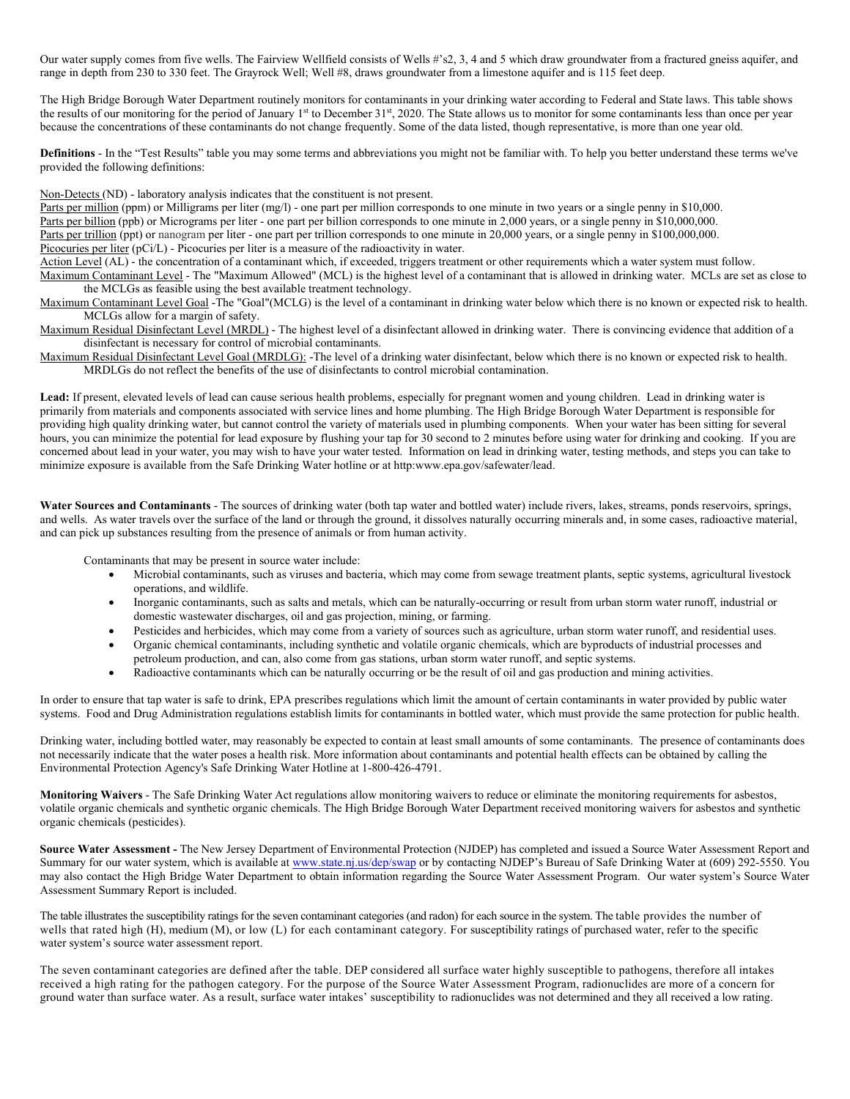Our water supply comes from five wells. The Fairview Wellfield consists of Wells #'s2, 3, 4 and 5 which draw groundwater from a fractured gneiss aquifer, and range in depth from 230 to 330 feet. The Grayrock Well; Well #8, draws groundwater from a limestone aquifer and is 115 feet deep.

The High Bridge Borough Water Department routinely monitors for contaminants in your drinking water according to Federal and State laws. This table shows the results of our monitoring for the period of January  $1<sup>st</sup>$  to December  $31<sup>st</sup>$ , 2020. The State allows us to monitor for some contaminants less than once per year because the concentrations of these contaminants do not change frequently. Some of the data listed, though representative, is more than one year old.

**Definitions** - In the "Test Results" table you may some terms and abbreviations you might not be familiar with. To help you better understand these terms we've provided the following definitions:

Non-Detects (ND) - laboratory analysis indicates that the constituent is not present.

Parts per million (ppm) or Milligrams per liter (mg/l) - one part per million corresponds to one minute in two years or a single penny in \$10,000. Parts per billion (ppb) or Micrograms per liter - one part per billion corresponds to one minute in 2,000 years, or a single penny in \$10,000,000. Parts per trillion (ppt) or nanogram per liter - one part per trillion corresponds to one minute in 20,000 years, or a single penny in \$100,000,000. Picocuries per liter (pCi/L) - Picocuries per liter is a measure of the radioactivity in water.

Action Level (AL) - the concentration of a contaminant which, if exceeded, triggers treatment or other requirements which a water system must follow. Maximum Contaminant Level - The "Maximum Allowed" (MCL) is the highest level of a contaminant that is allowed in drinking water. MCLs are set as close to the MCLGs as feasible using the best available treatment technology.

Maximum Contaminant Level Goal -The "Goal"(MCLG) is the level of a contaminant in drinking water below which there is no known or expected risk to health. MCLGs allow for a margin of safety.

Maximum Residual Disinfectant Level (MRDL) - The highest level of a disinfectant allowed in drinking water. There is convincing evidence that addition of a disinfectant is necessary for control of microbial contaminants.

Maximum Residual Disinfectant Level Goal (MRDLG): -The level of a drinking water disinfectant, below which there is no known or expected risk to health. MRDLGs do not reflect the benefits of the use of disinfectants to control microbial contamination.

**Lead:** If present, elevated levels of lead can cause serious health problems, especially for pregnant women and young children. Lead in drinking water is primarily from materials and components associated with service lines and home plumbing. The High Bridge Borough Water Department is responsible for providing high quality drinking water, but cannot control the variety of materials used in plumbing components. When your water has been sitting for several hours, you can minimize the potential for lead exposure by flushing your tap for 30 second to 2 minutes before using water for drinking and cooking. If you are concerned about lead in your water, you may wish to have your water tested. Information on lead in drinking water, testing methods, and steps you can take to minimize exposure is available from the Safe Drinking Water hotline or at http:www.epa.gov/safewater/lead.

Water Sources and Contaminants - The sources of drinking water (both tap water and bottled water) include rivers, lakes, streams, ponds reservoirs, springs, and wells. As water travels over the surface of the land or through the ground, it dissolves naturally occurring minerals and, in some cases, radioactive material, and can pick up substances resulting from the presence of animals or from human activity.

Contaminants that may be present in source water include:

- Microbial contaminants, such as viruses and bacteria, which may come from sewage treatment plants, septic systems, agricultural livestock operations, and wildlife.
- Inorganic contaminants, such as salts and metals, which can be naturally-occurring or result from urban storm water runoff, industrial or domestic wastewater discharges, oil and gas projection, mining, or farming.
- Pesticides and herbicides, which may come from a variety of sources such as agriculture, urban storm water runoff, and residential uses.
- Organic chemical contaminants, including synthetic and volatile organic chemicals, which are byproducts of industrial processes and petroleum production, and can, also come from gas stations, urban storm water runoff, and septic systems.
- Radioactive contaminants which can be naturally occurring or be the result of oil and gas production and mining activities.

In order to ensure that tap water is safe to drink, EPA prescribes regulations which limit the amount of certain contaminants in water provided by public water systems. Food and Drug Administration regulations establish limits for contaminants in bottled water, which must provide the same protection for public health.

Drinking water, including bottled water, may reasonably be expected to contain at least small amounts of some contaminants. The presence of contaminants does not necessarily indicate that the water poses a health risk. More information about contaminants and potential health effects can be obtained by calling the Environmental Protection Agency's Safe Drinking Water Hotline at 1-800-426-4791.

**Monitoring Waivers** - The Safe Drinking Water Act regulations allow monitoring waivers to reduce or eliminate the monitoring requirements for asbestos, volatile organic chemicals and synthetic organic chemicals. The High Bridge Borough Water Department received monitoring waivers for asbestos and synthetic organic chemicals (pesticides).

**Source Water Assessment -** The New Jersey Department of Environmental Protection (NJDEP) has completed and issued a Source Water Assessment Report and Summary for our water system, which is available at [www.state.nj.us/dep/swap](http://www.state.nj.us/dep/swap) or by contacting NJDEP's Bureau of Safe Drinking Water at (609) 292-5550. You may also contact the High Bridge Water Department to obtain information regarding the Source Water Assessment Program. Our water system's Source Water Assessment Summary Report is included.

The table illustrates the susceptibility ratings for the seven contaminant categories (and radon) for each source in the system. The table provides the number of wells that rated high (H), medium (M), or low (L) for each contaminant category. For susceptibility ratings of purchased water, refer to the specific water system's source water assessment report.

The seven contaminant categories are defined after the table. DEP considered all surface water highly susceptible to pathogens, therefore all intakes received a high rating for the pathogen category. For the purpose of the Source Water Assessment Program, radionuclides are more of a concern for ground water than surface water. As a result, surface water intakes' susceptibility to radionuclides was not determined and they all received a low rating.